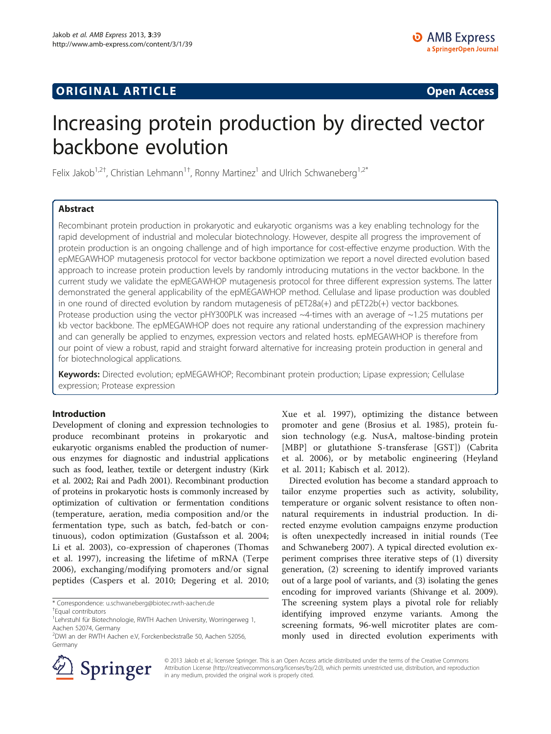## **ORIGINAL ARTICLE CONSUMING A LIGACION CONSUMING A LIGACION CONSUMING A LIGACION**

# Increasing protein production by directed vector backbone evolution

Felix Jakob<sup>1,2†</sup>, Christian Lehmann<sup>1†</sup>, Ronny Martinez<sup>1</sup> and Ulrich Schwaneberg<sup>1,2\*</sup>

## Abstract

Recombinant protein production in prokaryotic and eukaryotic organisms was a key enabling technology for the rapid development of industrial and molecular biotechnology. However, despite all progress the improvement of protein production is an ongoing challenge and of high importance for cost-effective enzyme production. With the epMEGAWHOP mutagenesis protocol for vector backbone optimization we report a novel directed evolution based approach to increase protein production levels by randomly introducing mutations in the vector backbone. In the current study we validate the epMEGAWHOP mutagenesis protocol for three different expression systems. The latter demonstrated the general applicability of the epMEGAWHOP method. Cellulase and lipase production was doubled in one round of directed evolution by random mutagenesis of pET28a(+) and pET22b(+) vector backbones. Protease production using the vector pHY300PLK was increased ~4-times with an average of ~1.25 mutations per kb vector backbone. The epMEGAWHOP does not require any rational understanding of the expression machinery and can generally be applied to enzymes, expression vectors and related hosts. epMEGAWHOP is therefore from our point of view a robust, rapid and straight forward alternative for increasing protein production in general and for biotechnological applications.

Keywords: Directed evolution; epMEGAWHOP; Recombinant protein production; Lipase expression; Cellulase expression; Protease expression

#### Introduction

Development of cloning and expression technologies to produce recombinant proteins in prokaryotic and eukaryotic organisms enabled the production of numerous enzymes for diagnostic and industrial applications such as food, leather, textile or detergent industry (Kirk et al. [2002;](#page-7-0) Rai and Padh [2001](#page-7-0)). Recombinant production of proteins in prokaryotic hosts is commonly increased by optimization of cultivation or fermentation conditions (temperature, aeration, media composition and/or the fermentation type, such as batch, fed-batch or continuous), codon optimization (Gustafsson et al. [2004](#page-7-0); Li et al. [2003](#page-7-0)), co-expression of chaperones (Thomas et al. [1997\)](#page-7-0), increasing the lifetime of mRNA (Terpe [2006\)](#page-7-0), exchanging/modifying promoters and/or signal peptides (Caspers et al. [2010;](#page-7-0) Degering et al. [2010](#page-7-0);

\* Correspondence: [u.schwaneberg@biotec.rwth-aachen.de](mailto:u.schwaneberg@biotec.rwth-aachen.de) †

<sup>2</sup> DWI an der RWTH Aachen e.V, Forckenbeckstraße 50, Aachen 52056, Germany



Springer

Xue et al. [1997](#page-8-0)), optimizing the distance between promoter and gene (Brosius et al. [1985\)](#page-7-0), protein fusion technology (e.g. NusA, maltose-binding protein [MBP] or glutathione S-transferase [GST]) (Cabrita et al. [2006\)](#page-7-0), or by metabolic engineering (Heyland et al. [2011;](#page-7-0) Kabisch et al. [2012](#page-7-0)).

Directed evolution has become a standard approach to tailor enzyme properties such as activity, solubility, temperature or organic solvent resistance to often nonnatural requirements in industrial production. In directed enzyme evolution campaigns enzyme production is often unexpectedly increased in initial rounds (Tee and Schwaneberg [2007\)](#page-7-0). A typical directed evolution experiment comprises three iterative steps of (1) diversity generation, (2) screening to identify improved variants out of a large pool of variants, and (3) isolating the genes encoding for improved variants (Shivange et al. [2009](#page-7-0)). The screening system plays a pivotal role for reliably identifying improved enzyme variants. Among the screening formats, 96-well microtiter plates are commonly used in directed evolution experiments with

© 2013 Jakob et al.; licensee Springer. This is an Open Access article distributed under the terms of the Creative Commons Attribution License [\(http://creativecommons.org/licenses/by/2.0\)](http://creativecommons.org/licenses/by/2.0), which permits unrestricted use, distribution, and reproduction in any medium, provided the original work is properly cited.

Equal contributors

<sup>&</sup>lt;sup>1</sup>Lehrstuhl für Biotechnologie, RWTH Aachen University, Worringerweg 1, Aachen 52074, Germany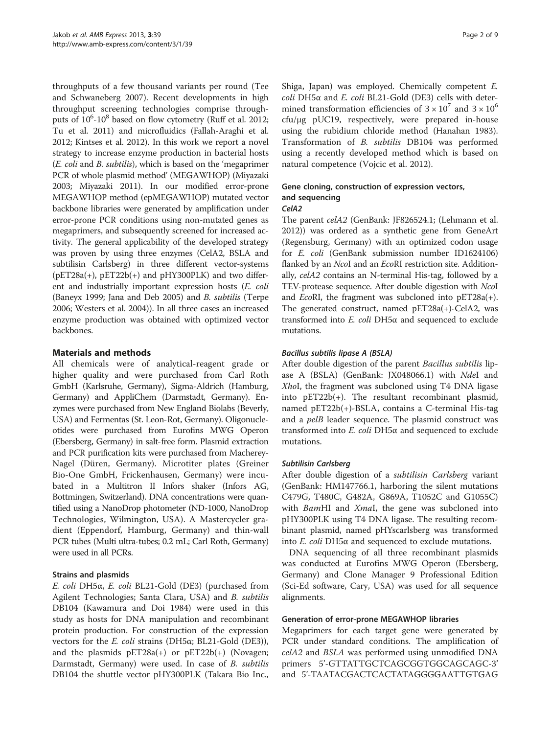throughputs of a few thousand variants per round (Tee and Schwaneberg [2007](#page-7-0)). Recent developments in high throughput screening technologies comprise throughputs of  $10^6$ - $10^8$  based on flow cytometry (Ruff et al. [2012](#page-7-0); Tu et al. [2011](#page-7-0)) and microfluidics (Fallah-Araghi et al. [2012;](#page-7-0) Kintses et al. [2012](#page-7-0)). In this work we report a novel strategy to increase enzyme production in bacterial hosts (E. coli and B. subtilis), which is based on the 'megaprimer PCR of whole plasmid method' (MEGAWHOP) (Miyazaki [2003;](#page-7-0) Miyazaki [2011](#page-7-0)). In our modified error-prone MEGAWHOP method (epMEGAWHOP) mutated vector backbone libraries were generated by amplification under error-prone PCR conditions using non-mutated genes as megaprimers, and subsequently screened for increased activity. The general applicability of the developed strategy was proven by using three enzymes (CelA2, BSLA and subtilisin Carlsberg) in three different vector-systems  $(pET28a(+), pET22b(+))$  and  $pHY300PLK)$  and two different and industrially important expression hosts (E. coli (Baneyx [1999](#page-7-0); Jana and Deb [2005](#page-7-0)) and B. subtilis (Terpe [2006;](#page-7-0) Westers et al. [2004](#page-8-0))). In all three cases an increased enzyme production was obtained with optimized vector backbones.

## Materials and methods

All chemicals were of analytical-reagent grade or higher quality and were purchased from Carl Roth GmbH (Karlsruhe, Germany), Sigma-Aldrich (Hamburg, Germany) and AppliChem (Darmstadt, Germany). Enzymes were purchased from New England Biolabs (Beverly, USA) and Fermentas (St. Leon-Rot, Germany). Oligonucleotides were purchased from Eurofins MWG Operon (Ebersberg, Germany) in salt-free form. Plasmid extraction and PCR purification kits were purchased from Macherey-Nagel (Düren, Germany). Microtiter plates (Greiner Bio-One GmbH, Frickenhausen, Germany) were incubated in a Multitron II Infors shaker (Infors AG, Bottmingen, Switzerland). DNA concentrations were quantified using a NanoDrop photometer (ND-1000, NanoDrop Technologies, Wilmington, USA). A Mastercycler gradient (Eppendorf, Hamburg, Germany) and thin-wall PCR tubes (Multi ultra-tubes; 0.2 mL; Carl Roth, Germany) were used in all PCRs.

#### Strains and plasmids

E. coli DH5α, E. coli BL21-Gold (DE3) (purchased from Agilent Technologies; Santa Clara, USA) and B. subtilis DB104 (Kawamura and Doi [1984\)](#page-7-0) were used in this study as hosts for DNA manipulation and recombinant protein production. For construction of the expression vectors for the *E. coli* strains (DH5 $\alpha$ ; BL21-Gold (DE3)), and the plasmids  $pET28a(+)$  or  $pET22b(+)$  (Novagen; Darmstadt, Germany) were used. In case of B. subtilis DB104 the shuttle vector pHY300PLK (Takara Bio Inc., Shiga, Japan) was employed. Chemically competent E. coli DH5α and E. coli BL21-Gold (DE3) cells with determined transformation efficiencies of  $3 \times 10^7$  and  $3 \times 10^6$ cfu/μg pUC19, respectively, were prepared in-house using the rubidium chloride method (Hanahan [1983](#page-7-0)). Transformation of B. subtilis DB104 was performed using a recently developed method which is based on natural competence (Vojcic et al. [2012\)](#page-7-0).

#### Gene cloning, construction of expression vectors, and sequencing CelA2

The parent celA2 (GenBank: JF826524.1; (Lehmann et al. [2012](#page-7-0))) was ordered as a synthetic gene from GeneArt (Regensburg, Germany) with an optimized codon usage for E. coli (GenBank submission number ID1624106) flanked by an NcoI and an EcoRI restriction site. Additionally, celA2 contains an N-terminal His-tag, followed by a TEV-protease sequence. After double digestion with NcoI and *EcoRI*, the fragment was subcloned into  $pET28a(+)$ . The generated construct, named pET28a(+)-CelA2, was transformed into  $E$ . coli DH5 $α$  and sequenced to exclude mutations.

#### Bacillus subtilis lipase A (BSLA)

After double digestion of the parent Bacillus subtilis lipase A (BSLA) (GenBank: JX048066.1) with NdeI and XhoI, the fragment was subcloned using T4 DNA ligase into pET22b(+). The resultant recombinant plasmid, named pET22b(+)-BSLA, contains a C-terminal His-tag and a *pelB* leader sequence. The plasmid construct was transformed into  $E.$  coli DH5 $α$  and sequenced to exclude mutations.

#### Subtilisin Carlsberg

After double digestion of a subtilisin Carlsberg variant (GenBank: HM147766.1, harboring the silent mutations C479G, T480C, G482A, G869A, T1052C and G1055C) with BamHI and XmaI, the gene was subcloned into pHY300PLK using T4 DNA ligase. The resulting recombinant plasmid, named pHYscarlsberg was transformed into *E. coli* DH5 $\alpha$  and sequenced to exclude mutations.

DNA sequencing of all three recombinant plasmids was conducted at Eurofins MWG Operon (Ebersberg, Germany) and Clone Manager 9 Professional Edition (Sci-Ed software, Cary, USA) was used for all sequence alignments.

#### Generation of error-prone MEGAWHOP libraries

Megaprimers for each target gene were generated by PCR under standard conditions. The amplification of celA2 and BSLA was performed using unmodified DNA primers 5'-GTTATTGCTCAGCGGTGGCAGCAGC-3' and 5'-TAATACGACTCACTATAGGGGAATTGTGAG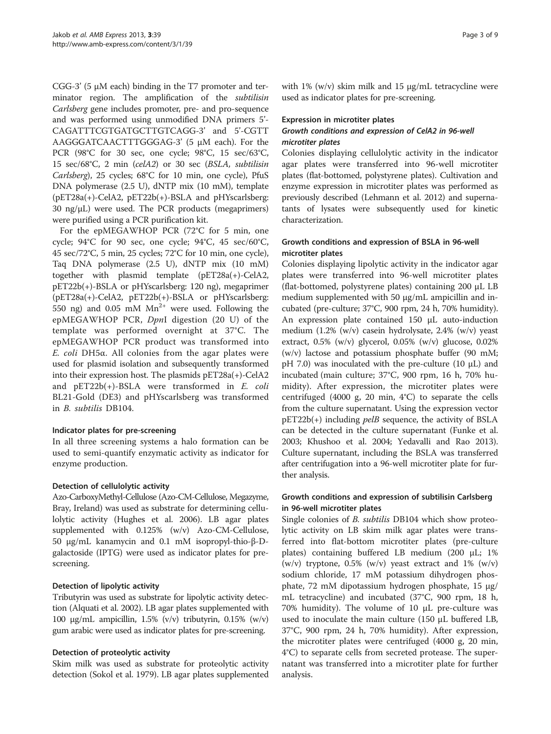CGG-3' (5  $\mu$ M each) binding in the T7 promoter and terminator region. The amplification of the subtilisin Carlsberg gene includes promoter, pre- and pro-sequence and was performed using unmodified DNA primers 5'- CAGATTTCGTGATGCTTGTCAGG-3' and 5'-CGTT AAGGGATCAACTTTGGGAG-3' (5 μM each). For the PCR (98°C for 30 sec, one cycle; 98°C, 15 sec/63°C, 15 sec/68°C, 2 min (celA2) or 30 sec (BSLA, subtilisin Carlsberg), 25 cycles; 68°C for 10 min, one cycle), PfuS DNA polymerase (2.5 U), dNTP mix (10 mM), template (pET28a(+)-CelA2, pET22b(+)-BSLA and pHYscarlsberg: 30 ng/μL) were used. The PCR products (megaprimers) were purified using a PCR purification kit.

For the epMEGAWHOP PCR (72°C for 5 min, one cycle;  $94^{\circ}$ C for 90 sec, one cycle;  $94^{\circ}$ C,  $45$  sec/60 $^{\circ}$ C, 45 sec/72°C, 5 min, 25 cycles; 72°C for 10 min, one cycle), Taq DNA polymerase (2.5 U), dNTP mix (10 mM) together with plasmid template (pET28a(+)-CelA2, pET22b(+)-BSLA or pHYscarlsberg: 120 ng), megaprimer (pET28a(+)-CelA2, pET22b(+)-BSLA or pHYscarlsberg: 550 ng) and 0.05 mM  $Mn^{2+}$  were used. Following the epMEGAWHOP PCR, DpnI digestion (20 U) of the template was performed overnight at 37°C. The epMEGAWHOP PCR product was transformed into E. coli DH5α. All colonies from the agar plates were used for plasmid isolation and subsequently transformed into their expression host. The plasmids pET28a(+)-CelA2 and pET22b(+)-BSLA were transformed in E. coli BL21-Gold (DE3) and pHYscarlsberg was transformed in B. subtilis DB104.

#### Indicator plates for pre-screening

In all three screening systems a halo formation can be used to semi-quantify enzymatic activity as indicator for enzyme production.

#### Detection of cellulolytic activity

Azo-CarboxyMethyl-Cellulose (Azo-CM-Cellulose, Megazyme, Bray, Ireland) was used as substrate for determining cellulolytic activity (Hughes et al. [2006](#page-7-0)). LB agar plates supplemented with 0.125% (w/v) Azo-CM-Cellulose, 50 μg/mL kanamycin and 0.1 mM isopropyl-thio-β-Dgalactoside (IPTG) were used as indicator plates for prescreening.

#### Detection of lipolytic activity

Tributyrin was used as substrate for lipolytic activity detection (Alquati et al. [2002\)](#page-7-0). LB agar plates supplemented with 100 μg/mL ampicillin, 1.5% (v/v) tributyrin, 0.15% (w/v) gum arabic were used as indicator plates for pre-screening.

#### Detection of proteolytic activity

Skim milk was used as substrate for proteolytic activity detection (Sokol et al. [1979](#page-7-0)). LB agar plates supplemented with  $1\%$  (w/v) skim milk and  $15 \mu g/mL$  tetracycline were used as indicator plates for pre-screening.

#### Expression in microtiter plates

#### Growth conditions and expression of CelA2 in 96-well microtiter plates

Colonies displaying cellulolytic activity in the indicator agar plates were transferred into 96-well microtiter plates (flat-bottomed, polystyrene plates). Cultivation and enzyme expression in microtiter plates was performed as previously described (Lehmann et al. [2012](#page-7-0)) and supernatants of lysates were subsequently used for kinetic characterization.

#### Growth conditions and expression of BSLA in 96-well microtiter plates

Colonies displaying lipolytic activity in the indicator agar plates were transferred into 96-well microtiter plates (flat-bottomed, polystyrene plates) containing 200 μL LB medium supplemented with 50 μg/mL ampicillin and incubated (pre-culture; 37°C, 900 rpm, 24 h, 70% humidity). An expression plate contained 150 μL auto-induction medium (1.2% (w/v) casein hydrolysate, 2.4% (w/v) yeast extract, 0.5% (w/v) glycerol, 0.05% (w/v) glucose, 0.02% (w/v) lactose and potassium phosphate buffer (90 mM; pH 7.0) was inoculated with the pre-culture (10  $\mu$ L) and incubated (main culture; 37°C, 900 rpm, 16 h, 70% humidity). After expression, the microtiter plates were centrifuged (4000 g, 20 min, 4°C) to separate the cells from the culture supernatant. Using the expression vector  $pET22b(+)$  including  $pelB$  sequence, the activity of BSLA can be detected in the culture supernatant (Funke et al. [2003](#page-7-0); Khushoo et al. [2004;](#page-7-0) Yedavalli and Rao [2013](#page-8-0)). Culture supernatant, including the BSLA was transferred after centrifugation into a 96-well microtiter plate for further analysis.

#### Growth conditions and expression of subtilisin Carlsberg in 96-well microtiter plates

Single colonies of *B. subtilis* DB104 which show proteolytic activity on LB skim milk agar plates were transferred into flat-bottom microtiter plates (pre-culture plates) containing buffered LB medium (200 μL; 1% (w/v) tryptone,  $0.5\%$  (w/v) yeast extract and  $1\%$  (w/v) sodium chloride, 17 mM potassium dihydrogen phosphate, 72 mM dipotassium hydrogen phosphate, 15 μg/ mL tetracycline) and incubated (37°C, 900 rpm, 18 h, 70% humidity). The volume of 10 μL pre-culture was used to inoculate the main culture  $(150 \mu L)$  buffered LB, 37°C, 900 rpm, 24 h, 70% humidity). After expression, the microtiter plates were centrifuged (4000 g, 20 min, 4°C) to separate cells from secreted protease. The supernatant was transferred into a microtiter plate for further analysis.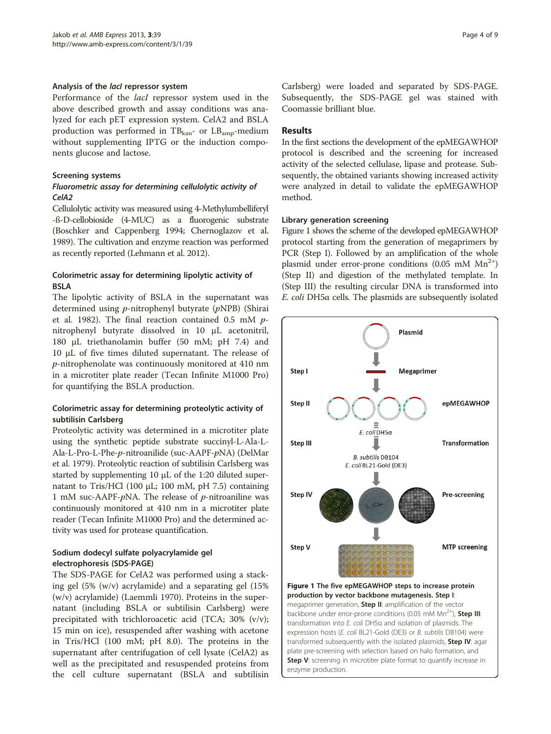#### <span id="page-3-0"></span>Analysis of the *lacl* repressor system

Performance of the lacI repressor system used in the above described growth and assay conditions was analyzed for each pET expression system. CelA2 and BSLA production was performed in  $TB_{\text{kan}}$ - or  $LB_{\text{amp}}$ -medium without supplementing IPTG or the induction components glucose and lactose.

#### Screening systems

#### Fluorometric assay for determining cellulolytic activity of CelA2

Cellulolytic activity was measured using 4-Methylumbelliferyl -ß-D-cellobioside (4-MUC) as a fluorogenic substrate (Boschker and Cappenberg [1994;](#page-7-0) Chernoglazov et al. [1989\)](#page-7-0). The cultivation and enzyme reaction was performed as recently reported (Lehmann et al. [2012](#page-7-0)).

#### Colorimetric assay for determining lipolytic activity of BSLA

The lipolytic activity of BSLA in the supernatant was determined using p-nitrophenyl butyrate (pNPB) (Shirai et al. [1982](#page-7-0)). The final reaction contained 0.5 mM pnitrophenyl butyrate dissolved in 10 μL acetonitril, 180 μL triethanolamin buffer (50 mM; pH 7.4) and 10 μL of five times diluted supernatant. The release of p-nitrophenolate was continuously monitored at 410 nm in a microtiter plate reader (Tecan Infinite M1000 Pro) for quantifying the BSLA production.

#### Colorimetric assay for determining proteolytic activity of subtilisin Carlsberg

Proteolytic activity was determined in a microtiter plate using the synthetic peptide substrate succinyl-L-Ala-L-Ala-L-Pro-L-Phe-p-nitroanilide (suc-AAPF-pNA) (DelMar et al. [1979](#page-7-0)). Proteolytic reaction of subtilisin Carlsberg was started by supplementing 10 μL of the 1:20 diluted supernatant to Tris/HCl (100 μL; 100 mM, pH 7.5) containing 1 mM suc-AAPF- $p$ NA. The release of  $p$ -nitroaniline was continuously monitored at 410 nm in a microtiter plate reader (Tecan Infinite M1000 Pro) and the determined activity was used for protease quantification.

## Sodium dodecyl sulfate polyacrylamide gel electrophoresis (SDS-PAGE)

The SDS-PAGE for CelA2 was performed using a stacking gel (5% (w/v) acrylamide) and a separating gel (15% (w/v) acrylamide) (Laemmli [1970](#page-7-0)). Proteins in the supernatant (including BSLA or subtilisin Carlsberg) were precipitated with trichloroacetic acid (TCA; 30% (v/v); 15 min on ice), resuspended after washing with acetone in Tris/HCl (100 mM; pH 8.0). The proteins in the supernatant after centrifugation of cell lysate (CelA2) as well as the precipitated and resuspended proteins from the cell culture supernatant (BSLA and subtilisin Carlsberg) were loaded and separated by SDS-PAGE. Subsequently, the SDS-PAGE gel was stained with Coomassie brilliant blue.

## **Results**

In the first sections the development of the epMEGAWHOP protocol is described and the screening for increased activity of the selected cellulase, lipase and protease. Subsequently, the obtained variants showing increased activity were analyzed in detail to validate the epMEGAWHOP method.

#### Library generation screening

Figure 1 shows the scheme of the developed epMEGAWHOP protocol starting from the generation of megaprimers by PCR (Step I). Followed by an amplification of the whole plasmid under error-prone conditions (0.05 mM  $Mn^{2+}$ ) (Step II) and digestion of the methylated template. In (Step III) the resulting circular DNA is transformed into E. coli DH5α cells. The plasmids are subsequently isolated



production by vector backbone mutagenesis. Step I: megaprimer generation, Step II: amplification of the vector backbone under error-prone conditions (0.05 mM  $Mn^{2+}$ ), **Step III**: transformation into E. coli DH5α and isolation of plasmids. The expression hosts (E. coli BL21-Gold (DE3) or B. subtilis DB104) were transformed subsequently with the isolated plasmids, Step IV: agar plate pre-screening with selection based on halo formation, and Step V: screening in microtiter plate format to quantify increase in enzyme production.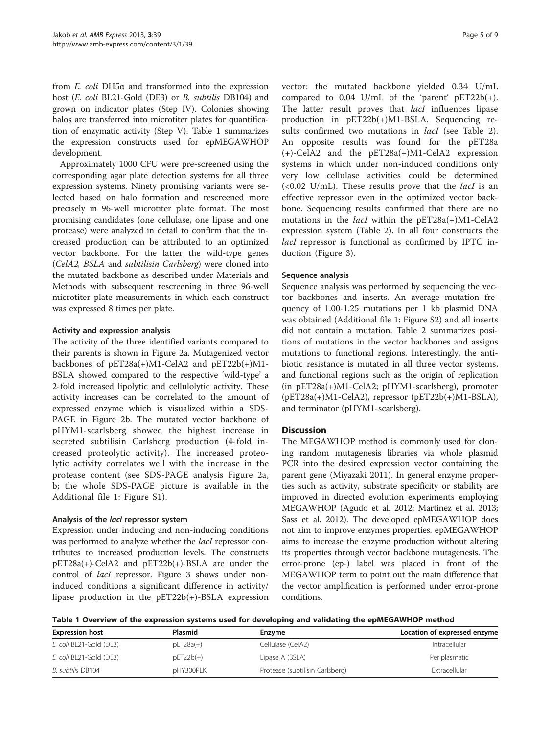from E. coli DH5α and transformed into the expression host (E. coli BL21-Gold (DE3) or B. subtilis DB104) and grown on indicator plates (Step IV). Colonies showing halos are transferred into microtiter plates for quantification of enzymatic activity (Step V). Table 1 summarizes the expression constructs used for epMEGAWHOP development.

Approximately 1000 CFU were pre-screened using the corresponding agar plate detection systems for all three expression systems. Ninety promising variants were selected based on halo formation and rescreened more precisely in 96-well microtiter plate format. The most promising candidates (one cellulase, one lipase and one protease) were analyzed in detail to confirm that the increased production can be attributed to an optimized vector backbone. For the latter the wild-type genes (CelA2, BSLA and subtilisin Carlsberg) were cloned into the mutated backbone as described under Materials and Methods with subsequent rescreening in three 96-well microtiter plate measurements in which each construct was expressed 8 times per plate.

#### Activity and expression analysis

The activity of the three identified variants compared to their parents is shown in Figure [2a](#page-5-0). Mutagenized vector backbones of pET28a(+)M1-CelA2 and pET22b(+)M1- BSLA showed compared to the respective 'wild-type' a 2-fold increased lipolytic and cellulolytic activity. These activity increases can be correlated to the amount of expressed enzyme which is visualized within a SDS-PAGE in Figure [2](#page-5-0)b. The mutated vector backbone of pHYM1-scarlsberg showed the highest increase in secreted subtilisin Carlsberg production (4-fold increased proteolytic activity). The increased proteolytic activity correlates well with the increase in the protease content (see SDS-PAGE analysis Figure [2a](#page-5-0), b; the whole SDS-PAGE picture is available in the Additional file [1:](#page-6-0) Figure S1).

#### Analysis of the lacl repressor system

Expression under inducing and non-inducing conditions was performed to analyze whether the *lacI* repressor contributes to increased production levels. The constructs pET28a(+)-CelA2 and pET22b(+)-BSLA are under the control of *lacI* repressor. Figure [3](#page-5-0) shows under noninduced conditions a significant difference in activity/ lipase production in the pET22b(+)-BSLA expression vector: the mutated backbone yielded 0.34 U/mL compared to 0.04 U/mL of the 'parent' pET22b(+). The latter result proves that *lacI* influences lipase production in pET22b(+)M1-BSLA. Sequencing results confirmed two mutations in *lacI* (see Table [2](#page-6-0)). An opposite results was found for the pET28a (+)-CelA2 and the pET28a(+)M1-CelA2 expression systems in which under non-induced conditions only very low cellulase activities could be determined  $( $0.02$  U/mL)$ . These results prove that the *lacI* is an effective repressor even in the optimized vector backbone. Sequencing results confirmed that there are no mutations in the *lacI* within the  $pET28a(+)M1-CeIA2$ expression system (Table [2](#page-6-0)). In all four constructs the lacI repressor is functional as confirmed by IPTG induction (Figure [3\)](#page-5-0).

#### Sequence analysis

Sequence analysis was performed by sequencing the vector backbones and inserts. An average mutation frequency of 1.00-1.25 mutations per 1 kb plasmid DNA was obtained (Additional file [1:](#page-6-0) Figure S2) and all inserts did not contain a mutation. Table [2](#page-6-0) summarizes positions of mutations in the vector backbones and assigns mutations to functional regions. Interestingly, the antibiotic resistance is mutated in all three vector systems, and functional regions such as the origin of replication (in pET28a(+)M1-CelA2; pHYM1-scarlsberg), promoter  $(pET28a(+)M1-CellA2)$ , repressor  $(pET22b(+)M1-BSLA)$ , and terminator (pHYM1-scarlsberg).

#### **Discussion**

The MEGAWHOP method is commonly used for cloning random mutagenesis libraries via whole plasmid PCR into the desired expression vector containing the parent gene (Miyazaki [2011\)](#page-7-0). In general enzyme properties such as activity, substrate specificity or stability are improved in directed evolution experiments employing MEGAWHOP (Agudo et al. [2012;](#page-7-0) Martinez et al. [2013](#page-7-0); Sass et al. [2012](#page-7-0)). The developed epMEGAWHOP does not aim to improve enzymes properties. epMEGAWHOP aims to increase the enzyme production without altering its properties through vector backbone mutagenesis. The error-prone (ep-) label was placed in front of the MEGAWHOP term to point out the main difference that the vector amplification is performed under error-prone conditions.

Table 1 Overview of the expression systems used for developing and validating the epMEGAWHOP method

| <b>Expression host</b>  | <b>Plasmid</b> | Enzyme                          | Location of expressed enzyme |
|-------------------------|----------------|---------------------------------|------------------------------|
| E. coli BL21-Gold (DE3) | $pET28a(+)$    | Cellulase (CelA2)               | Intracellular                |
| E. coli BL21-Gold (DE3) | $pET22b(+)$    | Lipase A (BSLA)                 | Periplasmatic                |
| B. subtilis DB104       | pHY300PLK      | Protease (subtilisin Carlsberg) | Extracellular                |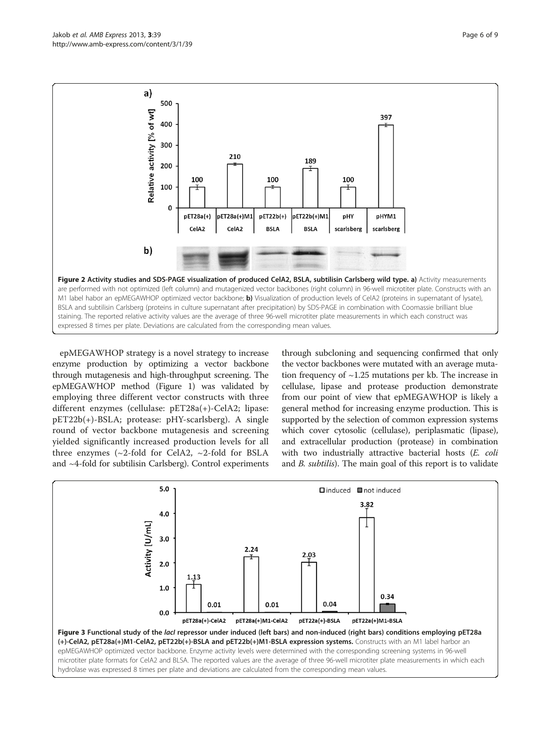<span id="page-5-0"></span>

epMEGAWHOP strategy is a novel strategy to increase enzyme production by optimizing a vector backbone through mutagenesis and high-throughput screening. The epMEGAWHOP method (Figure [1](#page-3-0)) was validated by employing three different vector constructs with three different enzymes (cellulase: pET28a(+)-CelA2; lipase: pET22b(+)-BSLA; protease: pHY-scarlsberg). A single round of vector backbone mutagenesis and screening yielded significantly increased production levels for all three enzymes ( $\sim$ 2-fold for CelA2,  $\sim$ 2-fold for BSLA and ~4-fold for subtilisin Carlsberg). Control experiments

through subcloning and sequencing confirmed that only the vector backbones were mutated with an average mutation frequency of  $\sim$ 1.25 mutations per kb. The increase in cellulase, lipase and protease production demonstrate from our point of view that epMEGAWHOP is likely a general method for increasing enzyme production. This is supported by the selection of common expression systems which cover cytosolic (cellulase), periplasmatic (lipase), and extracellular production (protease) in combination with two industrially attractive bacterial hosts (E. coli and B. subtilis). The main goal of this report is to validate

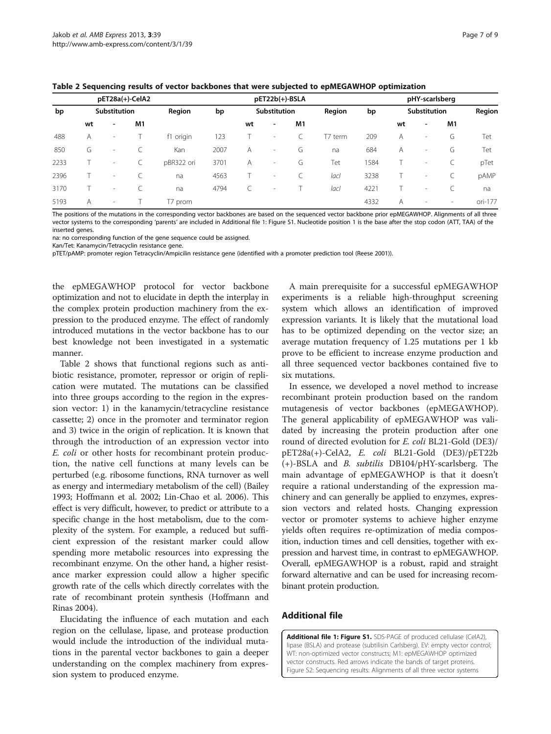<span id="page-6-0"></span>

| Table 2 Sequencing results of vector backbones that were subjected to epMEGAWHOP optimization |  |  |  |
|-----------------------------------------------------------------------------------------------|--|--|--|
|-----------------------------------------------------------------------------------------------|--|--|--|

| pET28a(+)-CelA2 |              |                          |        | pET22b(+)-BSLA |              |    |                          |    | pHY-scarlsberg |      |                |                          |                          |         |
|-----------------|--------------|--------------------------|--------|----------------|--------------|----|--------------------------|----|----------------|------|----------------|--------------------------|--------------------------|---------|
| bp              | Substitution |                          | Region | bp             | Substitution |    | Region                   | bp | Substitution   |      |                | Region                   |                          |         |
|                 | wt           | $\overline{\phantom{a}}$ | M1     |                |              | wt | $\overline{\phantom{a}}$ | M1 |                |      | wt             | $\overline{\phantom{a}}$ | M1                       |         |
| 488             | Α            | $\overline{\phantom{a}}$ |        | f1 origin      | 123          |    | $\overline{\phantom{a}}$ |    | T7 term        | 209  | $\overline{A}$ | $\overline{\phantom{a}}$ | G                        | Tet     |
| 850             | G            | $\sim$                   |        | Kan            | 2007         | A  | $\sim$                   | G  | na             | 684  | A              | $\overline{\phantom{a}}$ | G                        | Tet     |
| 2233            |              | $\overline{\phantom{a}}$ |        | pBR322 ori     | 3701         | A  | $\sim$                   | G  | Tet            | 584  |                | $\overline{\phantom{a}}$ |                          | pTet    |
| 2396            |              | $\sim$                   |        | na             | 4563         |    | $\overline{\phantom{a}}$ |    | lacl           | 3238 |                | $\overline{\phantom{a}}$ |                          | pAMP    |
| 3170            |              | $\sim$                   |        | na             | 4794         |    | ۰                        |    | lacl           | 4221 |                | $\overline{\phantom{a}}$ |                          | na      |
| 5193            | A            | $\sim$                   |        | T7 prom        |              |    |                          |    |                | 4332 | A              | $\overline{\phantom{a}}$ | $\overline{\phantom{a}}$ | ori-177 |

The positions of the mutations in the corresponding vector backbones are based on the sequenced vector backbone prior epMEGAWHOP. Alignments of all three vector systems to the corresponding 'parents' are included in Additional file 1: Figure S1. Nucleotide position 1 is the base after the stop codon (ATT, TAA) of the inserted genes.

na: no corresponding function of the gene sequence could be assigned.

Kan/Tet: Kanamycin/Tetracyclin resistance gene.

pTET/pAMP: promoter region Tetracyclin/Ampicilin resistance gene (identified with a promoter prediction tool (Reese 2001)).

the epMEGAWHOP protocol for vector backbone optimization and not to elucidate in depth the interplay in the complex protein production machinery from the expression to the produced enzyme. The effect of randomly introduced mutations in the vector backbone has to our best knowledge not been investigated in a systematic manner.

Table 2 shows that functional regions such as antibiotic resistance, promoter, repressor or origin of replication were mutated. The mutations can be classified into three groups according to the region in the expression vector: 1) in the kanamycin/tetracycline resistance cassette; 2) once in the promoter and terminator region and 3) twice in the origin of replication. It is known that through the introduction of an expression vector into E. coli or other hosts for recombinant protein production, the native cell functions at many levels can be perturbed (e.g. ribosome functions, RNA turnover as well as energy and intermediary metabolism of the cell) (Bailey [1993;](#page-7-0) Hoffmann et al. [2002](#page-7-0); Lin-Chao et al. [2006](#page-7-0)). This effect is very difficult, however, to predict or attribute to a specific change in the host metabolism, due to the complexity of the system. For example, a reduced but sufficient expression of the resistant marker could allow spending more metabolic resources into expressing the recombinant enzyme. On the other hand, a higher resistance marker expression could allow a higher specific growth rate of the cells which directly correlates with the rate of recombinant protein synthesis (Hoffmann and Rinas [2004](#page-7-0)).

Elucidating the influence of each mutation and each region on the cellulase, lipase, and protease production would include the introduction of the individual mutations in the parental vector backbones to gain a deeper understanding on the complex machinery from expression system to produced enzyme.

A main prerequisite for a successful epMEGAWHOP experiments is a reliable high-throughput screening system which allows an identification of improved expression variants. It is likely that the mutational load has to be optimized depending on the vector size; an average mutation frequency of 1.25 mutations per 1 kb prove to be efficient to increase enzyme production and all three sequenced vector backbones contained five to six mutations.

In essence, we developed a novel method to increase recombinant protein production based on the random mutagenesis of vector backbones (epMEGAWHOP). The general applicability of epMEGAWHOP was validated by increasing the protein production after one round of directed evolution for E. coli BL21-Gold (DE3)/ pET28a(+)-CelA2, E. coli BL21-Gold (DE3)/pET22b (+)-BSLA and B. subtilis DB104/pHY-scarlsberg. The main advantage of epMEGAWHOP is that it doesn't require a rational understanding of the expression machinery and can generally be applied to enzymes, expression vectors and related hosts. Changing expression vector or promoter systems to achieve higher enzyme yields often requires re-optimization of media composition, induction times and cell densities, together with expression and harvest time, in contrast to epMEGAWHOP. Overall, epMEGAWHOP is a robust, rapid and straight forward alternative and can be used for increasing recombinant protein production.

#### Additional file

[Additional file 1: Figure S1.](http://www.biomedcentral.com/content/supplementary/2191-0855-3-39-S1.pdf) SDS-PAGE of produced cellulase (CelA2), lipase (BSLA) and protease (subtilisin Carlsberg). EV: empty vector control; WT: non-optimized vector constructs; M1: epMEGAWHOP optimized vector constructs. Red arrows indicate the bands of target proteins. Figure S2: Sequencing results: Alignments of all three vector systems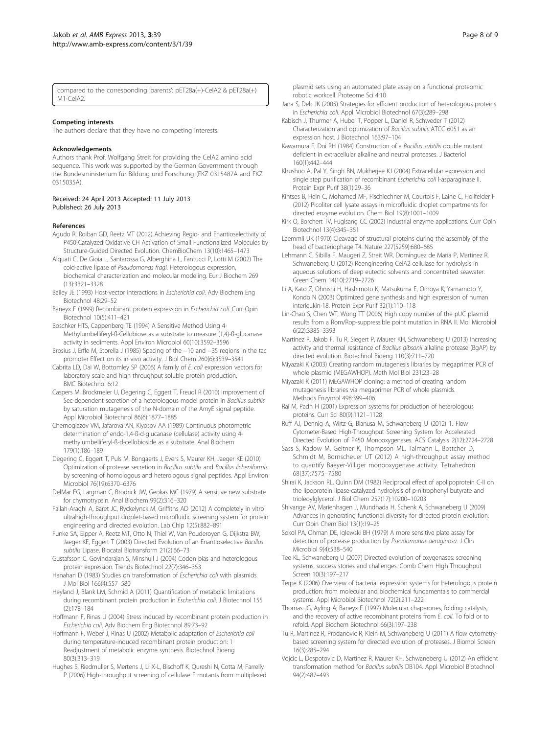<span id="page-7-0"></span>compared to the corresponding 'parents': pET28a(+)-CelA2 & pET28a(+)  $M1-Ce<sub>AB</sub>$ 

#### Competing interests

The authors declare that they have no competing interests.

#### Acknowledgements

Authors thank Prof. Wolfgang Streit for providing the CelA2 amino acid sequence. This work was supported by the German Government through the Bundesministerium für Bildung und Forschung (FKZ 0315487A and FKZ 0315035A).

#### Received: 24 April 2013 Accepted: 11 July 2013 Published: 26 July 2013

#### References

- Agudo R, Roiban GD, Reetz MT (2012) Achieving Regio- and Enantioselectivity of P450-Catalyzed Oxidative CH Activation of Small Functionalized Molecules by Structure-Guided Directed Evolution. ChemBioChem 13(10):1465–1473
- Alquati C, De Gioia L, Santarossa G, Alberghina L, Fantucci P, Lotti M (2002) The cold-active lipase of Pseudomonas fragi. Heterologous expression, biochemical characterization and molecular modeling. Eur J Biochem 269 (13):3321–3328
- Bailey JE (1993) Host-vector interactions in Escherichia coli. Adv Biochem Eng Biotechnol 48:29–52
- Baneyx F (1999) Recombinant protein expression in Escherichia coli. Curr Opin Biotechnol 10(5):411–421
- Boschker HTS, Cappenberg TE (1994) A Sensitive Method Using 4- Methylumbelliferyl-ß-Cellobiose as a substrate to measure (1,4)-ß-glucanase activity in sediments. Appl Environ Microbiol 60(10):3592–3596
- Brosius J, Erfle M, Storella J (1985) Spacing of the −10 and −35 regions in the tac promoter Effect on its in vivo activity. J Biol Chem 260(6):3539–3541
- Cabrita LD, Dai W, Bottomley SP (2006) A family of E. coli expression vectors for laboratory scale and high throughput soluble protein production. BMC Biotechnol 6:12
- Caspers M, Brockmeier U, Degering C, Eggert T, Freudl R (2010) Improvement of Sec-dependent secretion of a heterologous model protein in Bacillus subtilis by saturation mutagenesis of the N-domain of the AmyE signal peptide. Appl Microbiol Biotechnol 86(6):1877–1885
- Chernoglazov VM, Jafarova AN, Klyosov AA (1989) Continuous photometric determination of endo-1,4-ß-d-glucanase (cellulase) activity using 4 methylumbelliferyl-ß-d-cellobioside as a substrate. Anal Biochem 179(1):186–189
- Degering C, Eggert T, Puls M, Bongaerts J, Evers S, Maurer KH, Jaeger KE (2010) Optimization of protease secretion in Bacillus subtilis and Bacillus licheniformis by screening of homologous and heterologous signal peptides. Appl Environ Microbiol 76(19):6370–6376
- DelMar EG, Largman C, Brodrick JW, Geokas MC (1979) A sensitive new substrate for chymotrypsin. Anal Biochem 99(2):316–320
- Fallah-Araghi A, Baret JC, Ryckelynck M, Griffiths AD (2012) A completely in vitro ultrahigh-throughput droplet-based microfluidic screening system for protein engineering and directed evolution. Lab Chip 12(5):882–891
- Funke SA, Eipper A, Reetz MT, Otto N, Thiel W, Van Pouderoyen G, Dijkstra BW, Jaeger KE, Eggert T (2003) Directed Evolution of an Enantioselective Bacillus subtilis Lipase. Biocatal Biotransform 21(2):66–73
- Gustafsson C, Govindarajan S, Minshull J (2004) Codon bias and heterologous protein expression. Trends Biotechnol 22(7):346–353
- Hanahan D (1983) Studies on transformation of *Escherichia coli* with plasmids. J Mol Biol 166(4):557–580
- Heyland J, Blank LM, Schmid A (2011) Quantification of metabolic limitations during recombinant protein production in Escherichia coli. J Biotechnol 155 (2):178–184
- Hoffmann F, Rinas U (2004) Stress induced by recombinant protein production in Escherichia coli. Adv Biochem Eng Biotechnol 89:73–92
- Hoffmann F, Weber J, Rinas U (2002) Metabolic adaptation of Escherichia coli during temperature-induced recombinant protein production: 1 Readjustment of metabolic enzyme synthesis. Biotechnol Bioeng 80(3):313–319
- Hughes S, Riedmuller S, Mertens J, Li X-L, Bischoff K, Qureshi N, Cotta M, Farrelly P (2006) High-throughput screening of cellulase F mutants from multiplexed

plasmid sets using an automated plate assay on a functional proteomic robotic workcell. Proteome Sci 4:10

- Jana S, Deb JK (2005) Strategies for efficient production of heterologous proteins in Escherichia coli. Appl Microbiol Biotechnol 67(3):289–298
- Kabisch J, Thurmer A, Hubel T, Popper L, Daniel R, Schweder T (2012) Characterization and optimization of Bacillus subtilis ATCC 6051 as an expression host. J Biotechnol 163:97–104
- Kawamura F, Doi RH (1984) Construction of a Bacillus subtilis double mutant deficient in extracellular alkaline and neutral proteases. J Bacteriol 160(1):442–444
- Khushoo A, Pal Y, Singh BN, Mukherjee KJ (2004) Extracellular expression and single step purification of recombinant Escherichia coli l-asparaginase II. Protein Expr Purif 38(1):29–36
- Kintses B, Hein C, Mohamed MF, Fischlechner M, Courtois F, Laine C, Hollfelder F (2012) Picoliter cell lysate assays in microfluidic droplet compartments for directed enzyme evolution. Chem Biol 19(8):1001–1009
- Kirk O, Borchert TV, Fuglsang CC (2002) Industrial enzyme applications. Curr Opin Biotechnol 13(4):345–351
- Laemmli UK (1970) Cleavage of structural proteins during the assembly of the head of bacteriophage T4. Nature 227(5259):680–685
- Lehmann C, Sibilla F, Maugeri Z, Streit WR, Domínguez de María P, Martinez R, Schwaneberg U (2012) Reengineering CelA2 cellulase for hydrolysis in aqueous solutions of deep eutectic solvents and concentrated seawater. Green Chem 14(10):2719–2726
- Li A, Kato Z, Ohnishi H, Hashimoto K, Matsukuma E, Omoya K, Yamamoto Y, Kondo N (2003) Optimized gene synthesis and high expression of human interleukin-18. Protein Expr Purif 32(1):110–118
- Lin-Chao S, Chen WT, Wong TT (2006) High copy number of the pUC plasmid results from a Rom/Rop-suppressible point mutation in RNA II. Mol Microbiol 6(22):3385–3393
- Martinez R, Jakob F, Tu R, Siegert P, Maurer KH, Schwaneberg U (2013) Increasing activity and thermal resistance of Bacillus gibsonii alkaline protease (BqAP) by directed evolution. Biotechnol Bioeng 110(3):711–720
- Miyazaki K (2003) Creating random mutagenesis libraries by megaprimer PCR of whole plasmid (MEGAWHOP). Meth Mol Biol 231:23–28
- Miyazaki K (2011) MEGAWHOP cloning: a method of creating random mutagenesis libraries via megaprimer PCR of whole plasmids. Methods Enzymol 498:399–406
- Rai M, Padh H (2001) Expression systems for production of heterologous proteins. Curr Sci 80(9):1121–1128
- Ruff AJ, Dennig A, Wirtz G, Blanusa M, Schwaneberg U (2012) 1. Flow Cytometer-Based High-Throughput Screening System for Accelerated Directed Evolution of P450 Monooxygenases. ACS Catalysis 2(12):2724–2728
- Sass S, Kadow M, Geitner K, Thompson ML, Talmann L, Bottcher D, Schmidt M, Bornscheuer UT (2012) A high-throughput assay method to quantify Baeyer-Villiger monooxygenase activity. Tetrahedron 68(37):7575–7580
- Shirai K, Jackson RL, Quinn DM (1982) Reciprocal effect of apolipoprotein C-II on the lipoprotein lipase-catalyzed hydrolysis of p-nitrophenyl butyrate and trioleoylglycerol. J Biol Chem 257(17):10200–10203
- Shivange AV, Marienhagen J, Mundhada H, Schenk A, Schwaneberg U (2009) Advances in generating functional diversity for directed protein evolution. Curr Opin Chem Biol 13(1):19–25
- Sokol PA, Ohman DE, Iglewski BH (1979) A more sensitive plate assay for detection of protease production by Pseudomanas aeruginosa. J Clin Microbiol 9(4):538–540
- Tee KL, Schwaneberg U (2007) Directed evolution of oxygenases: screening systems, success stories and challenges. Comb Chem High Throughput Screen 10(3):197–217
- Terpe K (2006) Overview of bacterial expression systems for heterologous protein production: from molecular and biochemical fundamentals to commercial systems. Appl Microbiol Biotechnol 72(2):211–222
- Thomas JG, Ayling A, Baneyx F (1997) Molecular chaperones, folding catalysts, and the recovery of active recombinant proteins from E. coli. To fold or to refold. Appl Biochem Biotechnol 66(3):197–238
- Tu R, Martinez R, Prodanovic R, Klein M, Schwaneberg U (2011) A flow cytometrybased screening system for directed evolution of proteases. J Biomol Screen 16(3):285–294
- Vojcic L, Despotovic D, Martinez R, Maurer KH, Schwaneberg U (2012) An efficient transformation method for Bacillus subtilis DB104. Appl Microbiol Biotechnol 94(2):487–493